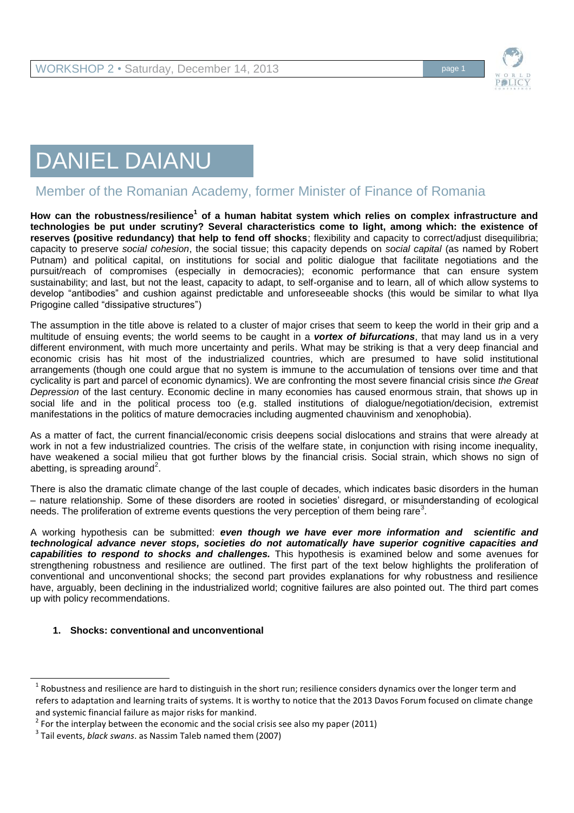

# DANIEL DAIANU

# Member of the Romanian Academy, former Minister of Finance of Romania

**How can the robustness/resilience<sup>1</sup> of a human habitat system which relies on complex infrastructure and technologies be put under scrutiny? Several characteristics come to light, among which: the existence of reserves (positive redundancy) that help to fend off shocks**; flexibility and capacity to correct/adjust disequilibria; capacity to preserve *social cohesion*, the social tissue; this capacity depends on *social capital* (as named by Robert Putnam) and political capital, on institutions for social and politic dialogue that facilitate negotiations and the pursuit/reach of compromises (especially in democracies); economic performance that can ensure system sustainability; and last, but not the least, capacity to adapt, to self-organise and to learn, all of which allow systems to develop "antibodies" and cushion against predictable and unforeseeable shocks (this would be similar to what Ilya Prigogine called "dissipative structures")

The assumption in the title above is related to a cluster of major crises that seem to keep the world in their grip and a multitude of ensuing events; the world seems to be caught in a *vortex of bifurcations*, that may land us in a very different environment, with much more uncertainty and perils. What may be striking is that a very deep financial and economic crisis has hit most of the industrialized countries, which are presumed to have solid institutional arrangements (though one could argue that no system is immune to the accumulation of tensions over time and that cyclicality is part and parcel of economic dynamics). We are confronting the most severe financial crisis since *the Great Depression* of the last century. Economic decline in many economies has caused enormous strain, that shows up in social life and in the political process too (e.g. stalled institutions of dialogue/negotiation/decision, extremist manifestations in the politics of mature democracies including augmented chauvinism and xenophobia).

As a matter of fact, the current financial/economic crisis deepens social dislocations and strains that were already at work in not a few industrialized countries. The crisis of the welfare state, in conjunction with rising income inequality, have weakened a social milieu that got further blows by the financial crisis. Social strain, which shows no sign of abetting, is spreading around<sup>2</sup>.

There is also the dramatic climate change of the last couple of decades, which indicates basic disorders in the human – nature relationship. Some of these disorders are rooted in societies' disregard, or misunderstanding of ecological needs. The proliferation of extreme events questions the very perception of them being rare<sup>3</sup>.

A working hypothesis can be submitted: *even though we have ever more information and scientific and technological advance never stops, societies do not automatically have superior cognitive capacities and capabilities to respond to shocks and challenges.* This hypothesis is examined below and some avenues for strengthening robustness and resilience are outlined. The first part of the text below highlights the proliferation of conventional and unconventional shocks; the second part provides explanations for why robustness and resilience have, arguably, been declining in the industrialized world; cognitive failures are also pointed out. The third part comes up with policy recommendations.

# **1. Shocks: conventional and unconventional**

<sup>1</sup> Robustness and resilience are hard to distinguish in the short run; resilience considers dynamics over the longer term and refers to adaptation and learning traits of systems. It is worthy to notice that the 2013 Davos Forum focused on climate change and systemic financial failure as major risks for mankind.

 $2$  For the interplay between the economic and the social crisis see also my paper (2011)

<sup>3</sup> Tail events, *black swans*. as Nassim Taleb named them (2007)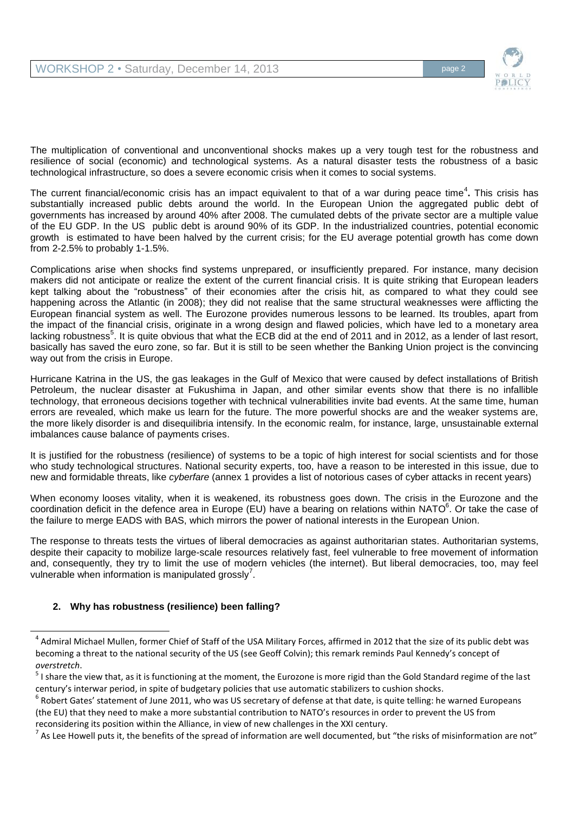

The multiplication of conventional and unconventional shocks makes up a very tough test for the robustness and resilience of social (economic) and technological systems. As a natural disaster tests the robustness of a basic technological infrastructure, so does a severe economic crisis when it comes to social systems.

The current financial/economic crisis has an impact equivalent to that of a war during peace time<sup>4</sup>. This crisis has substantially increased public debts around the world. In the European Union the aggregated public debt of governments has increased by around 40% after 2008. The cumulated debts of the private sector are a multiple value of the EU GDP. In the US public debt is around 90% of its GDP. In the industrialized countries, potential economic growth is estimated to have been halved by the current crisis; for the EU average potential growth has come down from 2-2.5% to probably 1-1.5%.

Complications arise when shocks find systems unprepared, or insufficiently prepared. For instance, many decision makers did not anticipate or realize the extent of the current financial crisis. It is quite striking that European leaders kept talking about the "robustness" of their economies after the crisis hit, as compared to what they could see happening across the Atlantic (in 2008); they did not realise that the same structural weaknesses were afflicting the European financial system as well. The Eurozone provides numerous lessons to be learned. Its troubles, apart from the impact of the financial crisis, originate in a wrong design and flawed policies, which have led to a monetary area lacking robustness<sup>5</sup>. It is quite obvious that what the ECB did at the end of 2011 and in 2012, as a lender of last resort, basically has saved the euro zone, so far. But it is still to be seen whether the Banking Union project is the convincing way out from the crisis in Europe.

Hurricane Katrina in the US, the gas leakages in the Gulf of Mexico that were caused by defect installations of British Petroleum, the nuclear disaster at Fukushima in Japan, and other similar events show that there is no infallible technology, that erroneous decisions together with technical vulnerabilities invite bad events. At the same time, human errors are revealed, which make us learn for the future. The more powerful shocks are and the weaker systems are, the more likely disorder is and disequilibria intensify. In the economic realm, for instance, large, unsustainable external imbalances cause balance of payments crises.

It is justified for the robustness (resilience) of systems to be a topic of high interest for social scientists and for those who study technological structures. National security experts, too, have a reason to be interested in this issue, due to new and formidable threats, like *cyberfare* (annex 1 provides a list of notorious cases of cyber attacks in recent years)

When economy looses vitality, when it is weakened, its robustness goes down. The crisis in the Eurozone and the coordination deficit in the defence area in Europe (EU) have a bearing on relations within NATO<sup>6</sup>. Or take the case of the failure to merge EADS with BAS, which mirrors the power of national interests in the European Union.

The response to threats tests the virtues of liberal democracies as against authoritarian states. Authoritarian systems, despite their capacity to mobilize large-scale resources relatively fast, feel vulnerable to free movement of information and, consequently, they try to limit the use of modern vehicles (the internet). But liberal democracies, too, may feel vulnerable when information is manipulated grossly<sup>7</sup>.

# **2. Why has robustness (resilience) been falling?**

 $^4$  Admiral Michael Mullen, former Chief of Staff of the USA Military Forces, affirmed in 2012 that the size of its public debt was becoming a threat to the national security of the US (see Geoff Colvin); this remark reminds Paul Kennedy's concept of *overstretch*.

 $^5$  I share the view that, as it is functioning at the moment, the Eurozone is more rigid than the Gold Standard regime of the last century's interwar period, in spite of budgetary policies that use automatic stabilizers to cushion shocks.

<sup>6</sup> Robert Gates' statement of June 2011, who was US secretary of defense at that date, is quite telling: he warned Europeans (the EU) that they need to make a more substantial contribution to NATO's resources in order to prevent the US from reconsidering its position within the Alliance, in view of new challenges in the XXI century.

 $^7$  As Lee Howell puts it, the benefits of the spread of information are well documented, but "the risks of misinformation are not"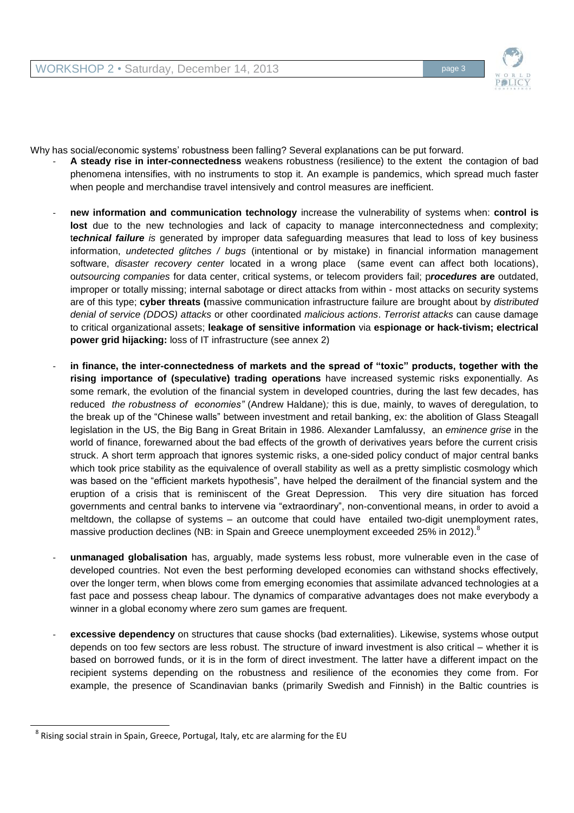

Why has social/economic systems' robustness been falling? Several explanations can be put forward.

- A steady rise in inter-connectedness weakens robustness (resilience) to the extent the contagion of bad phenomena intensifies, with no instruments to stop it. An example is pandemics, which spread much faster when people and merchandise travel intensively and control measures are inefficient.
- **new information and communication technology** increase the vulnerability of systems when: **control is**  lost due to the new technologies and lack of capacity to manage interconnectedness and complexity; t*echnical failure is* generated by improper data safeguarding measures that lead to loss of key business information, *undetected glitches / bugs* (intentional or by mistake) in financial information management software, *disaster recovery center* located in a wrong place (same event can affect both locations), o*utsourcing companies* for data center, critical systems, or telecom providers fail; p*rocedures* **are** outdated, improper or totally missing; internal sabotage or direct attacks from within - most attacks on security systems are of this type; **cyber threats (**massive communication infrastructure failure are brought about by *distributed denial of service (DDOS) attacks* or other coordinated *malicious actions*. *Terrorist attacks* can cause damage to critical organizational assets; **leakage of sensitive information** via **espionage or hack-tivism; electrical power grid hijacking:** loss of IT infrastructure (see annex 2)
- in finance, the inter-connectedness of markets and the spread of "toxic" products, together with the **rising importance of (speculative) trading operations** have increased systemic risks exponentially. As some remark, the evolution of the financial system in developed countries, during the last few decades, has reduced *the robustness of economies"* (Andrew Haldane)*;* this is due, mainly, to waves of deregulation, to the break up of the "Chinese walls" between investment and retail banking, ex: the abolition of Glass Steagall legislation in the US, the Big Bang in Great Britain in 1986. Alexander Lamfalussy, an *eminence grise* in the world of finance, forewarned about the bad effects of the growth of derivatives years before the current crisis struck. A short term approach that ignores systemic risks, a one-sided policy conduct of major central banks which took price stability as the equivalence of overall stability as well as a pretty simplistic cosmology which was based on the "efficient markets hypothesis", have helped the derailment of the financial system and the eruption of a crisis that is reminiscent of the Great Depression. This very dire situation has forced governments and central banks to intervene via "extraordinary", non-conventional means, in order to avoid a meltdown, the collapse of systems – an outcome that could have entailed two-digit unemployment rates, massive production declines (NB: in Spain and Greece unemployment exceeded 25% in 2012).<sup>8</sup>
- **unmanaged globalisation** has, arguably, made systems less robust, more vulnerable even in the case of developed countries. Not even the best performing developed economies can withstand shocks effectively, over the longer term, when blows come from emerging economies that assimilate advanced technologies at a fast pace and possess cheap labour. The dynamics of comparative advantages does not make everybody a winner in a global economy where zero sum games are frequent.
- excessive dependency on structures that cause shocks (bad externalities). Likewise, systems whose output depends on too few sectors are less robust. The structure of inward investment is also critical – whether it is based on borrowed funds, or it is in the form of direct investment. The latter have a different impact on the recipient systems depending on the robustness and resilience of the economies they come from. For example, the presence of Scandinavian banks (primarily Swedish and Finnish) in the Baltic countries is

<sup>8</sup> Rising social strain in Spain, Greece, Portugal, Italy, etc are alarming for the EU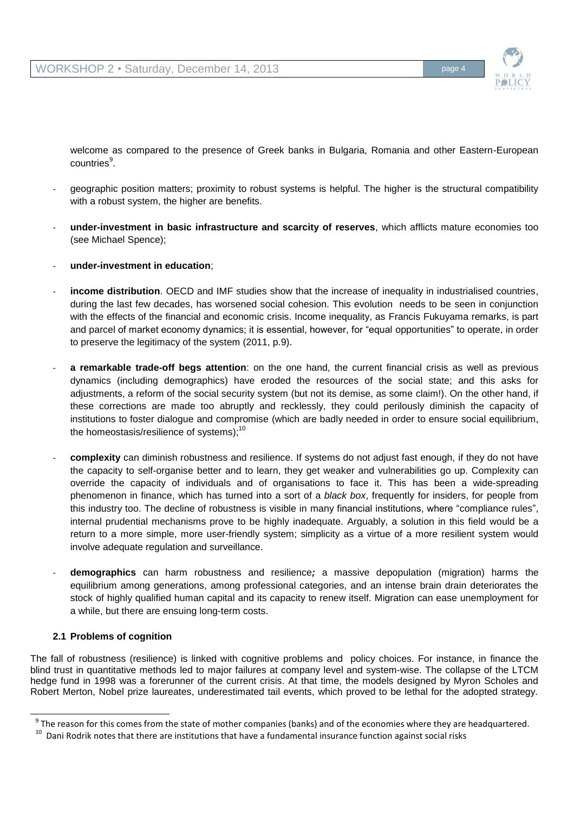

welcome as compared to the presence of Greek banks in Bulgaria, Romania and other Eastern-European countries<sup>9</sup>.

- geographic position matters; proximity to robust systems is helpful. The higher is the structural compatibility with a robust system, the higher are benefits.
- **under-investment in basic infrastructure and scarcity of reserves**, which afflicts mature economies too (see Michael Spence);
- **under-investment in education**;
- income distribution. OECD and IMF studies show that the increase of inequality in industrialised countries, during the last few decades, has worsened social cohesion. This evolution needs to be seen in conjunction with the effects of the financial and economic crisis. Income inequality, as Francis Fukuyama remarks, is part and parcel of market economy dynamics; it is essential, however, for "equal opportunities" to operate, in order to preserve the legitimacy of the system (2011, p.9).
- a **remarkable trade-off begs attention**: on the one hand, the current financial crisis as well as previous dynamics (including demographics) have eroded the resources of the social state; and this asks for adjustments, a reform of the social security system (but not its demise, as some claim!). On the other hand, if these corrections are made too abruptly and recklessly, they could perilously diminish the capacity of institutions to foster dialogue and compromise (which are badly needed in order to ensure social equilibrium, the homeostasis/resilience of systems);<sup>10</sup>
- **complexity** can diminish robustness and resilience. If systems do not adjust fast enough, if they do not have the capacity to self-organise better and to learn, they get weaker and vulnerabilities go up. Complexity can override the capacity of individuals and of organisations to face it. This has been a wide-spreading phenomenon in finance, which has turned into a sort of a *black box*, frequently for insiders, for people from this industry too. The decline of robustness is visible in many financial institutions, where "compliance rules", internal prudential mechanisms prove to be highly inadequate. Arguably, a solution in this field would be a return to a more simple, more user-friendly system; simplicity as a virtue of a more resilient system would involve adequate regulation and surveillance.
- **demographics** can harm robustness and resilience*;* a massive depopulation (migration) harms the equilibrium among generations, among professional categories, and an intense brain drain deteriorates the stock of highly qualified human capital and its capacity to renew itself. Migration can ease unemployment for a while, but there are ensuing long-term costs.

# **2.1 Problems of cognition**

l

The fall of robustness (resilience) is linked with cognitive problems and policy choices. For instance, in finance the blind trust in quantitative methods led to major failures at company level and system-wise. The collapse of the LTCM hedge fund in 1998 was a forerunner of the current crisis. At that time, the models designed by Myron Scholes and Robert Merton, Nobel prize laureates, underestimated tail events, which proved to be lethal for the adopted strategy.

 $^9$  The reason for this comes from the state of mother companies (banks) and of the economies where they are headquartered.

<sup>&</sup>lt;sup>10</sup> Dani Rodrik notes that there are institutions that have a fundamental insurance function against social risks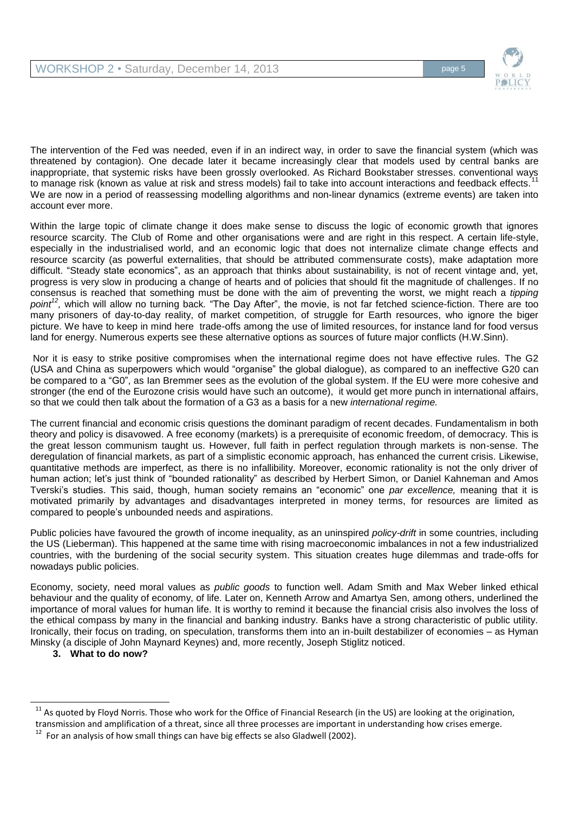

The intervention of the Fed was needed, even if in an indirect way, in order to save the financial system (which was threatened by contagion). One decade later it became increasingly clear that models used by central banks are inappropriate, that systemic risks have been grossly overlooked. As Richard Bookstaber stresses. conventional ways to manage risk (known as value at risk and stress models) fail to take into account interactions and feedback effects. We are now in a period of reassessing modelling algorithms and non-linear dynamics (extreme events) are taken into account ever more.

Within the large topic of climate change it does make sense to discuss the logic of economic growth that ignores resource scarcity. The Club of Rome and other organisations were and are right in this respect. A certain life-style, especially in the industrialised world, and an economic logic that does not internalize climate change effects and resource scarcity (as powerful externalities, that should be attributed commensurate costs), make adaptation more difficult. "Steady state economics", as an approach that thinks about sustainability, is not of recent vintage and, yet, progress is very slow in producing a change of hearts and of policies that should fit the magnitude of challenges. If no consensus is reached that something must be done with the aim of preventing the worst, we might reach a *tipping point<sup>12</sup> ,* which will allow no turning back*.* "The Day After", the movie, is not far fetched science-fiction. There are too many prisoners of day-to-day reality, of market competition, of struggle for Earth resources, who ignore the biger picture. We have to keep in mind here trade-offs among the use of limited resources, for instance land for food versus land for energy. Numerous experts see these alternative options as sources of future major conflicts (H.W.Sinn).

Nor it is easy to strike positive compromises when the international regime does not have effective rules. The G2 (USA and China as superpowers which would "organise" the global dialogue), as compared to an ineffective G20 can be compared to a "G0", as Ian Bremmer sees as the evolution of the global system. If the EU were more cohesive and stronger (the end of the Eurozone crisis would have such an outcome), it would get more punch in international affairs, so that we could then talk about the formation of a G3 as a basis for a new *international regime.*

The current financial and economic crisis questions the dominant paradigm of recent decades. Fundamentalism in both theory and policy is disavowed. A free economy (markets) is a prerequisite of economic freedom, of democracy. This is the great lesson communism taught us. However, full faith in perfect regulation through markets is non-sense. The deregulation of financial markets, as part of a simplistic economic approach, has enhanced the current crisis. Likewise, quantitative methods are imperfect, as there is no infallibility. Moreover, economic rationality is not the only driver of human action; let's just think of "bounded rationality" as described by Herbert Simon, or Daniel Kahneman and Amos Tverski's studies. This said, though, human society remains an "economic" one *par excellence,* meaning that it is motivated primarily by advantages and disadvantages interpreted in money terms, for resources are limited as compared to people's unbounded needs and aspirations.

Public policies have favoured the growth of income inequality, as an uninspired *policy-drift* in some countries, including the US (Lieberman). This happened at the same time with rising macroeconomic imbalances in not a few industrialized countries, with the burdening of the social security system. This situation creates huge dilemmas and trade-offs for nowadays public policies.

Economy, society, need moral values as *public goods* to function well. Adam Smith and Max Weber linked ethical behaviour and the quality of economy, of life. Later on, Kenneth Arrow and Amartya Sen, among others, underlined the importance of moral values for human life. It is worthy to remind it because the financial crisis also involves the loss of the ethical compass by many in the financial and banking industry. Banks have a strong characteristic of public utility. Ironically, their focus on trading, on speculation, transforms them into an in-built destabilizer of economies – as Hyman Minsky (a disciple of John Maynard Keynes) and, more recently, Joseph Stiglitz noticed.

**3. What to do now?**

 $11$  As quoted by Floyd Norris. Those who work for the Office of Financial Research (in the US) are looking at the origination, transmission and amplification of a threat, since all three processes are important in understanding how crises emerge.

 $12$  For an analysis of how small things can have big effects se also Gladwell (2002).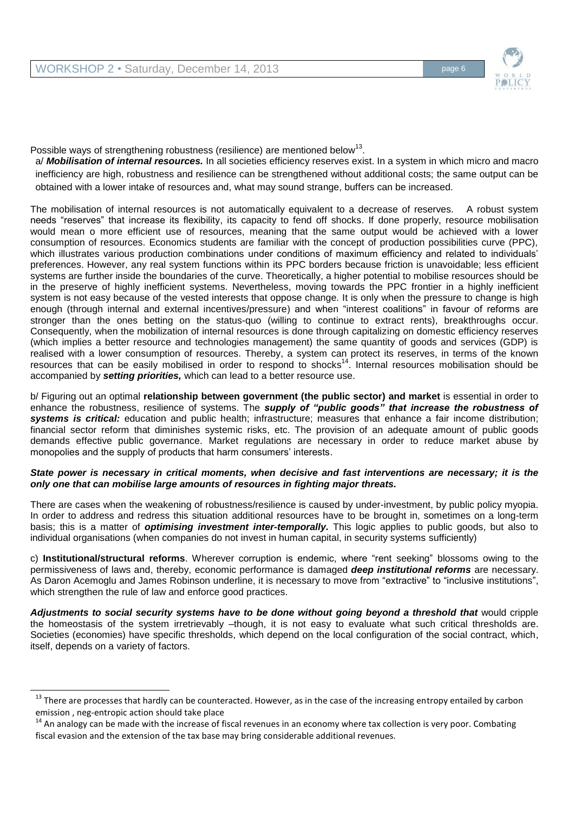l



Possible ways of strengthening robustness (resilience) are mentioned below<sup>13</sup>.

a/ *Mobilisation of internal resources.* In all societies efficiency reserves exist. In a system in which micro and macro inefficiency are high, robustness and resilience can be strengthened without additional costs; the same output can be obtained with a lower intake of resources and, what may sound strange, buffers can be increased.

The mobilisation of internal resources is not automatically equivalent to a decrease of reserves.A robust system needs "reserves" that increase its flexibility, its capacity to fend off shocks. If done properly, resource mobilisation would mean o more efficient use of resources, meaning that the same output would be achieved with a lower consumption of resources. Economics students are familiar with the concept of production possibilities curve (PPC), which illustrates various production combinations under conditions of maximum efficiency and related to individuals' preferences. However, any real system functions within its PPC borders because friction is unavoidable; less efficient systems are further inside the boundaries of the curve. Theoretically, a higher potential to mobilise resources should be in the preserve of highly inefficient systems. Nevertheless, moving towards the PPC frontier in a highly inefficient system is not easy because of the vested interests that oppose change*.* It is only when the pressure to change is high enough (through internal and external incentives/pressure) and when "interest coalitions" in favour of reforms are stronger than the ones betting on the status-quo (willing to continue to extract rents), breakthroughs occur. Consequently, when the mobilization of internal resources is done through capitalizing on domestic efficiency reserves (which implies a better resource and technologies management) the same quantity of goods and services (GDP) is realised with a lower consumption of resources. Thereby, a system can protect its reserves, in terms of the known resources that can be easily mobilised in order to respond to shocks<sup>14</sup>. Internal resources mobilisation should be accompanied by *setting priorities,* which can lead to a better resource use.

b/ Figuring out an optimal **relationship between government (the public sector) and market** is essential in order to enhance the robustness, resilience of systems. The *supply of "public goods" that increase the robustness of systems is critical:* education and public health; infrastructure; measures that enhance a fair income distribution; financial sector reform that diminishes systemic risks, etc. The provision of an adequate amount of public goods demands effective public governance. Market regulations are necessary in order to reduce market abuse by monopolies and the supply of products that harm consumers' interests.

#### *State power is necessary in critical moments, when decisive and fast interventions are necessary; it is the only one that can mobilise large amounts of resources in fighting major threats.*

There are cases when the weakening of robustness/resilience is caused by under-investment, by public policy myopia. In order to address and redress this situation additional resources have to be brought in, sometimes on a long-term basis; this is a matter of *optimising investment inter-temporally.* This logic applies to public goods, but also to individual organisations (when companies do not invest in human capital, in security systems sufficiently)

c) **Institutional/structural reforms**. Wherever corruption is endemic, where "rent seeking" blossoms owing to the permissiveness of laws and, thereby, economic performance is damaged *deep institutional reforms* are necessary. As Daron Acemoglu and James Robinson underline, it is necessary to move from "extractive" to "inclusive institutions", which strengthen the rule of law and enforce good practices.

*Adjustments to social security systems have to be done without going beyond a threshold that* would cripple the homeostasis of the system irretrievably –though, it is not easy to evaluate what such critical thresholds are. Societies (economies) have specific thresholds, which depend on the local configuration of the social contract, which, itself, depends on a variety of factors.

 $13$  There are processes that hardly can be counteracted. However, as in the case of the increasing entropy entailed by carbon emission , neg-entropic action should take place

<sup>&</sup>lt;sup>14</sup> An analogy can be made with the increase of fiscal revenues in an economy where tax collection is very poor. Combating fiscal evasion and the extension of the tax base may bring considerable additional revenues.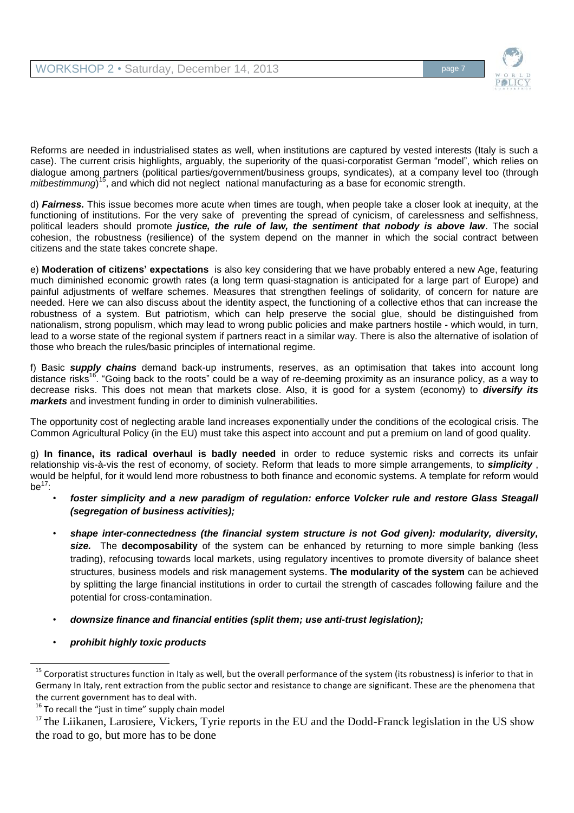

Reforms are needed in industrialised states as well, when institutions are captured by vested interests (Italy is such a case). The current crisis highlights, arguably, the superiority of the quasi-corporatist German "model", which relies on dialogue among partners (political parties/government/business groups, syndicates), at a company level too (through mitbestimmung)<sup>15</sup>, and which did not neglect national manufacturing as a base for economic strength.

d) *Fairness.* This issue becomes more acute when times are tough, when people take a closer look at inequity, at the functioning of institutions. For the very sake of preventing the spread of cynicism, of carelessness and selfishness, political leaders should promote *justice, the rule of law, the sentiment that nobody is above law*. The social cohesion, the robustness (resilience) of the system depend on the manner in which the social contract between citizens and the state takes concrete shape.

e) **Moderation of citizens' expectations** is also key considering that we have probably entered a new Age, featuring much diminished economic growth rates (a long term quasi-stagnation is anticipated for a large part of Europe) and painful adjustments of welfare schemes. Measures that strengthen feelings of solidarity, of concern for nature are needed. Here we can also discuss about the identity aspect, the functioning of a collective ethos that can increase the robustness of a system. But patriotism, which can help preserve the social glue, should be distinguished from nationalism, strong populism, which may lead to wrong public policies and make partners hostile - which would, in turn, lead to a worse state of the regional system if partners react in a similar way. There is also the alternative of isolation of those who breach the rules/basic principles of international regime.

f) Basic *supply chains* demand back-up instruments, reserves, as an optimisation that takes into account long distance risks<sup>16</sup>. "Going back to the roots" could be a way of re-deeming proximity as an insurance policy, as a way to decrease risks. This does not mean that markets close. Also, it is good for a system (economy) to *diversify its markets* and investment funding in order to diminish vulnerabilities.

The opportunity cost of neglecting arable land increases exponentially under the conditions of the ecological crisis. The Common Agricultural Policy (in the EU) must take this aspect into account and put a premium on land of good quality.

g) **In finance, its radical overhaul is badly needed** in order to reduce systemic risks and corrects its unfair relationship vis-à-vis the rest of economy, of society. Reform that leads to more simple arrangements, to *simplicity* , would be helpful, for it would lend more robustness to both finance and economic systems. A template for reform would be $17$ :

- *foster simplicity and a new paradigm of regulation: enforce Volcker rule and restore Glass Steagall (segregation of business activities);*
- *shape inter-connectedness (the financial system structure is not God given): modularity, diversity, size.* The **decomposability** of the system can be enhanced by returning to more simple banking (less trading), refocusing towards local markets, using regulatory incentives to promote diversity of balance sheet structures, business models and risk management systems. **The modularity of the system** can be achieved by splitting the large financial institutions in order to curtail the strength of cascades following failure and the potential for cross-contamination.
- *downsize finance and financial entities (split them; use anti-trust legislation);*
- *prohibit highly toxic products*

<sup>&</sup>lt;sup>15</sup> Corporatist structures function in Italy as well, but the overall performance of the system (its robustness) is inferior to that in Germany In Italy, rent extraction from the public sector and resistance to change are significant. These are the phenomena that the current government has to deal with.

 $16$  To recall the "just in time" supply chain model

<sup>&</sup>lt;sup>17</sup> The Liikanen, Larosiere, Vickers, Tyrie reports in the EU and the Dodd-Franck legislation in the US show the road to go, but more has to be done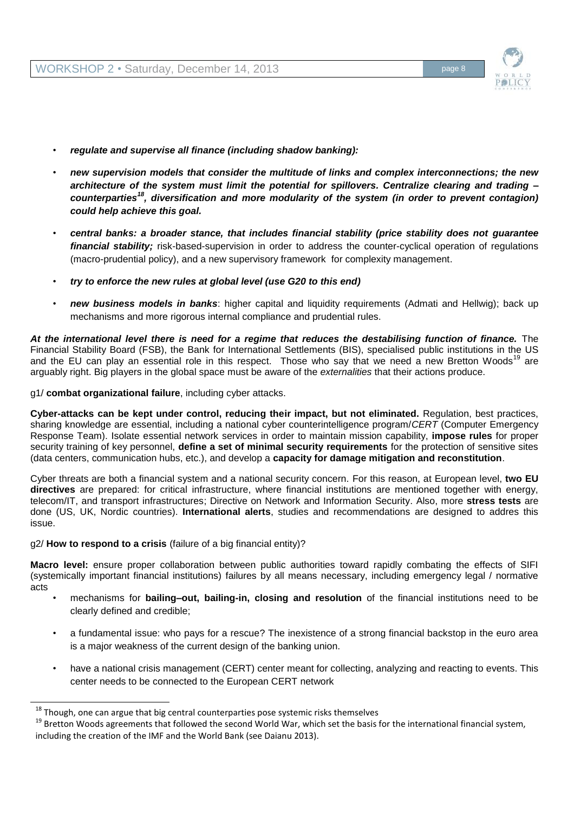

- *regulate and supervise all finance (including shadow banking):*
- *new supervision models that consider the multitude of links and complex interconnections; the new architecture of the system must limit the potential for spillovers. Centralize clearing and trading – counterparties<sup>18</sup>, diversification and more modularity of the system (in order to prevent contagion) could help achieve this goal.*
- *central banks: a broader stance, that includes financial stability (price stability does not guarantee financial stability;* risk-based-supervision in order to address the counter-cyclical operation of regulations (macro-prudential policy), and a new supervisory framework for complexity management.
- *try to enforce the new rules at global level (use G20 to this end)*
- *new business models in banks*: higher capital and liquidity requirements (Admati and Hellwig); back up mechanisms and more rigorous internal compliance and prudential rules.

*At the international level there is need for a regime that reduces the destabilising function of finance.* The Financial Stability Board (FSB), the Bank for International Settlements (BIS), specialised public institutions in the US and the EU can play an essential role in this respect. Those who say that we need a new Bretton Woods<sup>19</sup> are arguably right. Big players in the global space must be aware of the *externalities* that their actions produce.

g1/ **combat organizational failure**, including cyber attacks.

**Cyber-attacks can be kept under control, reducing their impact, but not eliminated.** Regulation, best practices, sharing knowledge are essential, including a national cyber counterintelligence program/*CERT* (Computer Emergency Response Team). Isolate essential network services in order to maintain mission capability, **impose rules** for proper security training of key personnel, **define a set of minimal security requirements** for the protection of sensitive sites (data centers, communication hubs, etc.), and develop a **capacity for damage mitigation and reconstitution**.

Cyber threats are both a financial system and a national security concern. For this reason, at European level, **two EU directives** are prepared: for critical infrastructure, where financial institutions are mentioned together with energy, telecom/IT, and transport infrastructures; Directive on Network and Information Security. Also, more **stress tests** are done (US, UK, Nordic countries). **International alerts**, studies and recommendations are designed to addres this issue.

g2/ **How to respond to a crisis** (failure of a big financial entity)?

 $\overline{a}$ 

**Macro level:** ensure proper collaboration between public authorities toward rapidly combating the effects of SIFI (systemically important financial institutions) failures by all means necessary, including emergency legal / normative acts

- mechanisms for **bailing–out, bailing-in, closing and resolution** of the financial institutions need to be clearly defined and credible;
- a fundamental issue: who pays for a rescue? The inexistence of a strong financial backstop in the euro area is a major weakness of the current design of the banking union.
- have a national crisis management (CERT) center meant for collecting, analyzing and reacting to events. This center needs to be connected to the European CERT network

 $18$  Though, one can argue that big central counterparties pose systemic risks themselves

<sup>&</sup>lt;sup>19</sup> Bretton Woods agreements that followed the second World War, which set the basis for the international financial system, including the creation of the IMF and the World Bank (see Daianu 2013).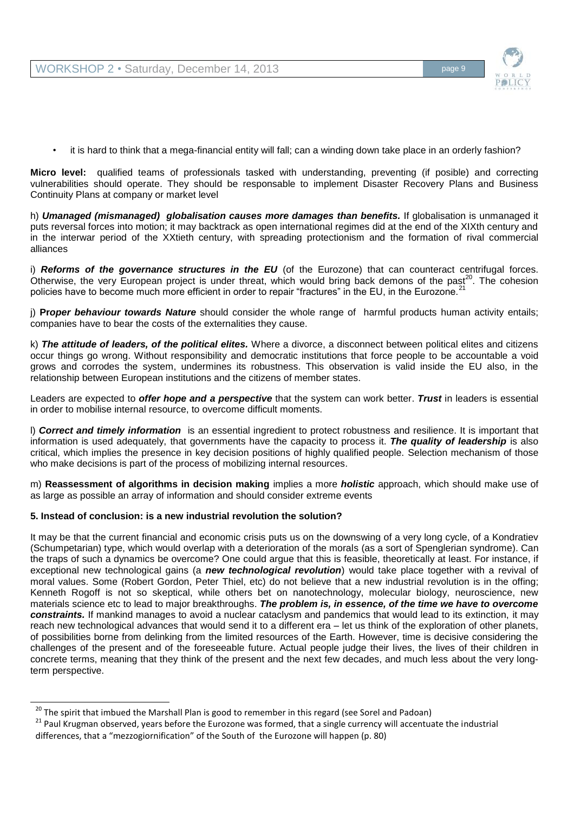

it is hard to think that a mega-financial entity will fall; can a winding down take place in an orderly fashion?

**Micro level:** qualified teams of professionals tasked with understanding, preventing (if posible) and correcting vulnerabilities should operate. They should be responsable to implement Disaster Recovery Plans and Business Continuity Plans at company or market level

h) *Umanaged (mismanaged) globalisation causes more damages than benefits.* If globalisation is unmanaged it puts reversal forces into motion; it may backtrack as open international regimes did at the end of the XIXth century and in the interwar period of the XXtieth century, with spreading protectionism and the formation of rival commercial alliances

i) **Reforms of the governance structures in the EU** (of the Eurozone) that can counteract centrifugal forces. Otherwise, the very European project is under threat, which would bring back demons of the past<sup>20</sup>. The cohesion policies have to become much more efficient in order to repair "fractures" in the EU, in the Eurozone.<sup>21</sup>

j) **Pr***oper behaviour towards Nature* should consider the whole range of harmful products human activity entails; companies have to bear the costs of the externalities they cause.

k) *The attitude of leaders, of the political elites.* Where a divorce, a disconnect between political elites and citizens occur things go wrong. Without responsibility and democratic institutions that force people to be accountable a void grows and corrodes the system, undermines its robustness. This observation is valid inside the EU also, in the relationship between European institutions and the citizens of member states.

Leaders are expected to *offer hope and a perspective* that the system can work better. *Trust* in leaders is essential in order to mobilise internal resource, to overcome difficult moments.

l) *Correct and timely information* is an essential ingredient to protect robustness and resilience. It is important that information is used adequately, that governments have the capacity to process it. *The quality of leadership* is also critical, which implies the presence in key decision positions of highly qualified people. Selection mechanism of those who make decisions is part of the process of mobilizing internal resources.

m) **Reassessment of algorithms in decision making** implies a more *holistic* approach, which should make use of as large as possible an array of information and should consider extreme events

#### **5. Instead of conclusion: is a new industrial revolution the solution?**

 $\overline{a}$ 

It may be that the current financial and economic crisis puts us on the downswing of a very long cycle, of a Kondratiev (Schumpetarian) type, which would overlap with a deterioration of the morals (as a sort of Spenglerian syndrome). Can the traps of such a dynamics be overcome? One could argue that this is feasible, theoretically at least. For instance, if exceptional new technological gains (a *new technological revolution*) would take place together with a revival of moral values. Some (Robert Gordon, Peter Thiel, etc) do not believe that a new industrial revolution is in the offing; Kenneth Rogoff is not so skeptical, while others bet on nanotechnology, molecular biology, neuroscience, new materials science etc to lead to major breakthroughs. *The problem is, in essence, of the time we have to overcome constraints.* If mankind manages to avoid a nuclear cataclysm and pandemics that would lead to its extinction, it may reach new technological advances that would send it to a different era – let us think of the exploration of other planets, of possibilities borne from delinking from the limited resources of the Earth. However, time is decisive considering the challenges of the present and of the foreseeable future. Actual people judge their lives, the lives of their children in concrete terms, meaning that they think of the present and the next few decades, and much less about the very longterm perspective.

<sup>&</sup>lt;sup>20</sup> The spirit that imbued the Marshall Plan is good to remember in this regard (see Sorel and Padoan)

<sup>&</sup>lt;sup>21</sup> Paul Krugman observed, years before the Eurozone was formed, that a single currency will accentuate the industrial differences, that a "mezzogiornification" of the South of the Eurozone will happen (p. 80)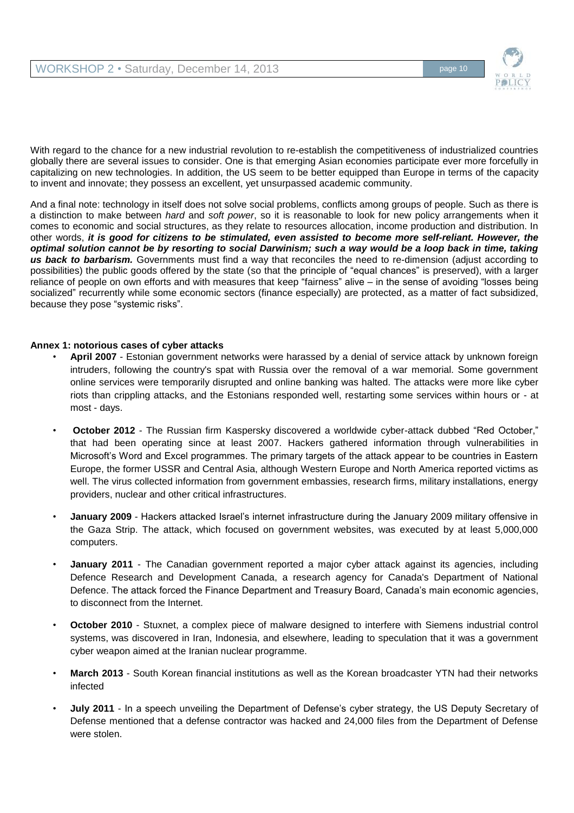

With regard to the chance for a new industrial revolution to re-establish the competitiveness of industrialized countries globally there are several issues to consider. One is that emerging Asian economies participate ever more forcefully in capitalizing on new technologies. In addition, the US seem to be better equipped than Europe in terms of the capacity to invent and innovate; they possess an excellent, yet unsurpassed academic community.

And a final note: technology in itself does not solve social problems, conflicts among groups of people. Such as there is a distinction to make between *hard* and *soft power*, so it is reasonable to look for new policy arrangements when it comes to economic and social structures, as they relate to resources allocation, income production and distribution. In other words, *it is good for citizens to be stimulated, even assisted to become more self-reliant. However, the optimal solution cannot be by resorting to social Darwinism; such a way would be a loop back in time, taking us back to barbarism.* Governments must find a way that reconciles the need to re-dimension (adjust according to possibilities) the public goods offered by the state (so that the principle of "equal chances" is preserved), with a larger reliance of people on own efforts and with measures that keep "fairness" alive – in the sense of avoiding "losses being socialized" recurrently while some economic sectors (finance especially) are protected, as a matter of fact subsidized, because they pose "systemic risks".

### **Annex 1: notorious cases of cyber attacks**

- **April 2007** Estonian government networks were harassed by a denial of service attack by unknown foreign intruders, following the country's spat with Russia over the removal of a war memorial. Some government online services were temporarily disrupted and online banking was halted. The attacks were more like cyber riots than crippling attacks, and the Estonians responded well, restarting some services within hours or - at most - days.
- **October 2012**  The Russian firm Kaspersky discovered a worldwide cyber-attack dubbed "Red October," that had been operating since at least 2007. Hackers gathered information through vulnerabilities in Microsoft's Word and Excel programmes. The primary targets of the attack appear to be countries in Eastern Europe, the former USSR and Central Asia, although Western Europe and North America reported victims as well. The virus collected information from government embassies, research firms, military installations, energy providers, nuclear and other critical infrastructures.
- **January 2009**  Hackers attacked Israel's internet infrastructure during the January 2009 military offensive in the Gaza Strip. The attack, which focused on government websites, was executed by at least 5,000,000 computers.
- **January 2011** The Canadian government reported a major cyber attack against its agencies, including Defence Research and Development Canada, a research agency for Canada's Department of National Defence. The attack forced the Finance Department and Treasury Board, Canada's main economic agencies, to disconnect from the Internet.
- **October 2010**  Stuxnet, a complex piece of malware designed to interfere with Siemens industrial control systems, was discovered in Iran, Indonesia, and elsewhere, leading to speculation that it was a government cyber weapon aimed at the Iranian nuclear programme.
- **March 2013**  South Korean financial institutions as well as the Korean broadcaster YTN had their networks infected
- **July 2011** In a speech unveiling the Department of Defense's cyber strategy, the US Deputy Secretary of Defense mentioned that a defense contractor was hacked and 24,000 files from the Department of Defense were stolen.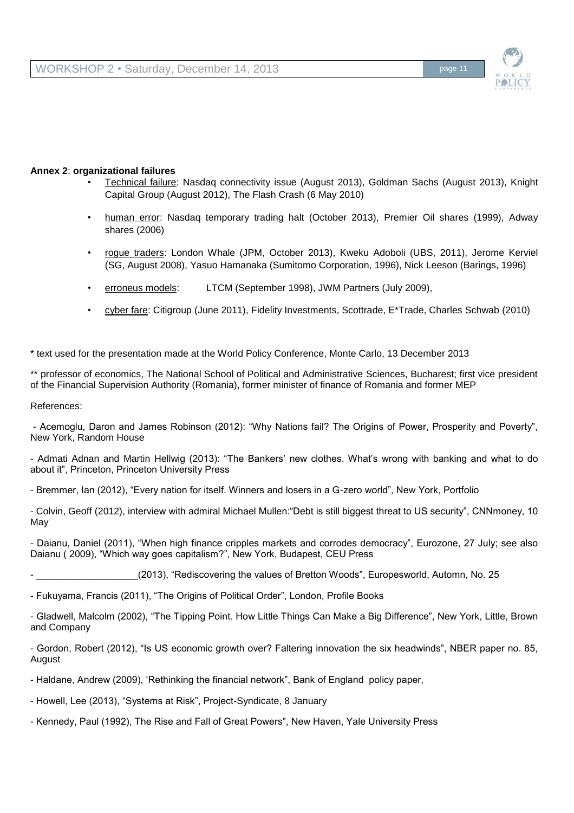

### **Annex 2**: **organizational failures**

- Technical failure: Nasdaq connectivity issue (August 2013), Goldman Sachs (August 2013), Knight Capital Group (August 2012), The Flash Crash (6 May 2010)
- human error: Nasdaq temporary trading halt (October 2013), Premier Oil shares (1999), Adway shares (2006)
- rogue traders: London Whale (JPM, October 2013), Kweku Adoboli (UBS, 2011), Jerome Kerviel (SG, August 2008), Yasuo Hamanaka (Sumitomo Corporation, 1996), Nick Leeson (Barings, 1996)
- erroneus models: LTCM (September 1998), JWM Partners (July 2009),
- cyber fare: Citigroup (June 2011), Fidelity Investments, Scottrade, E\*Trade, Charles Schwab (2010)

\* text used for the presentation made at the World Policy Conference, Monte Carlo, 13 December 2013

\*\* professor of economics, The National School of Political and Administrative Sciences, Bucharest; first vice president of the Financial Supervision Authority (Romania), former minister of finance of Romania and former MEP

References:

- Acemoglu, Daron and James Robinson (2012): "Why Nations fail? The Origins of Power, Prosperity and Poverty", New York, Random House

- Admati Adnan and Martin Hellwig (2013): "The Bankers' new clothes. What's wrong with banking and what to do about it", Princeton, Princeton University Press

- Bremmer, Ian (2012), "Every nation for itself. Winners and losers in a G-zero world", New York, Portfolio

- Colvin, Geoff (2012), interview with admiral Michael Mullen:"Debt is still biggest threat to US security", CNNmoney, 10 May

- Daianu, Daniel (2011), "When high finance cripples markets and corrodes democracy", Eurozone, 27 July; see also Daianu ( 2009), "Which way goes capitalism?", New York, Budapest, CEU Press

\_(2013), "Rediscovering the values of Bretton Woods", Europesworld, Automn, No. 25

- Fukuyama, Francis (2011), "The Origins of Political Order", London, Profile Books

- Gladwell, Malcolm (2002), "The Tipping Point. How Little Things Can Make a Big Difference", New York, Little, Brown and Company

- Gordon, Robert (2012), "Is US economic growth over? Faltering innovation the six headwinds", NBER paper no. 85, August

- Haldane, Andrew (2009), 'Rethinking the financial network", Bank of England policy paper,
- Howell, Lee (2013), "Systems at Risk", Project-Syndicate, 8 January
- Kennedy, Paul (1992), The Rise and Fall of Great Powers", New Haven, Yale University Press